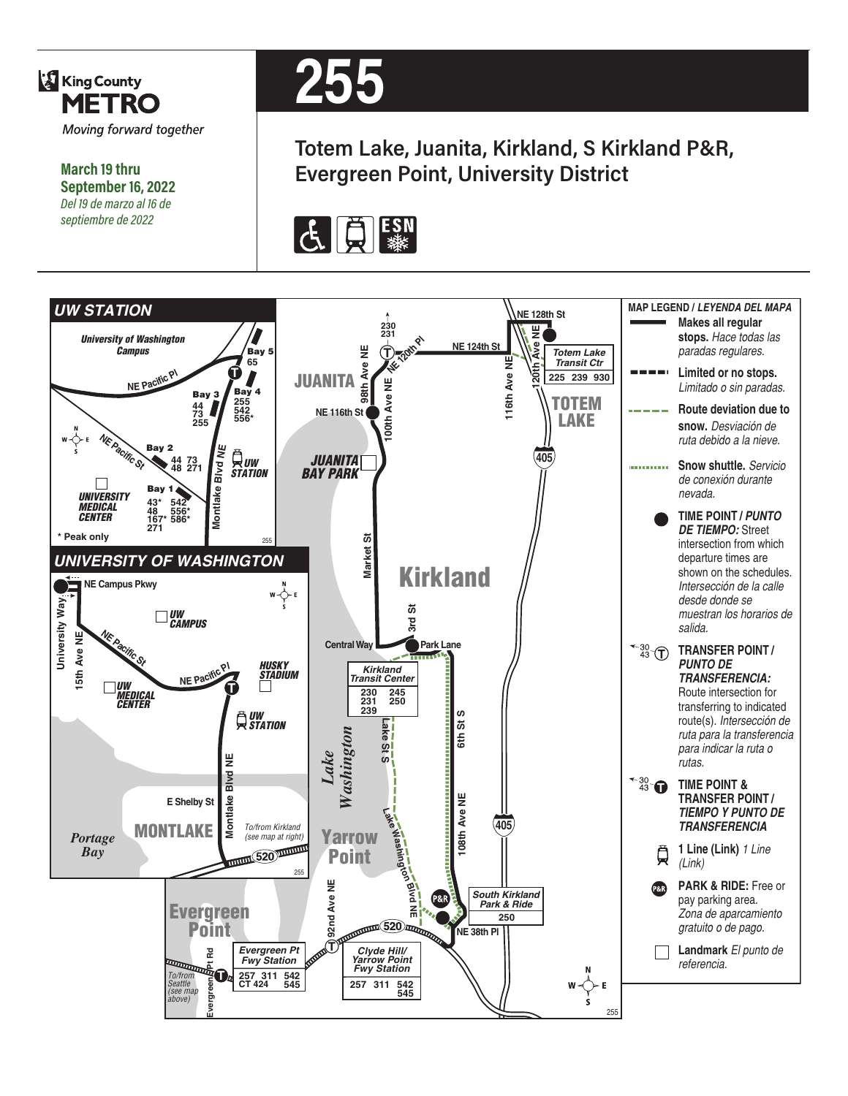

**March 19 thru September 16, 2022** *Del 19 de marzo al 16 de septiembre de 2022*

# **255**

**Totem Lake, Juanita, Kirkland, S Kirkland P&R, Evergreen Point, University District**



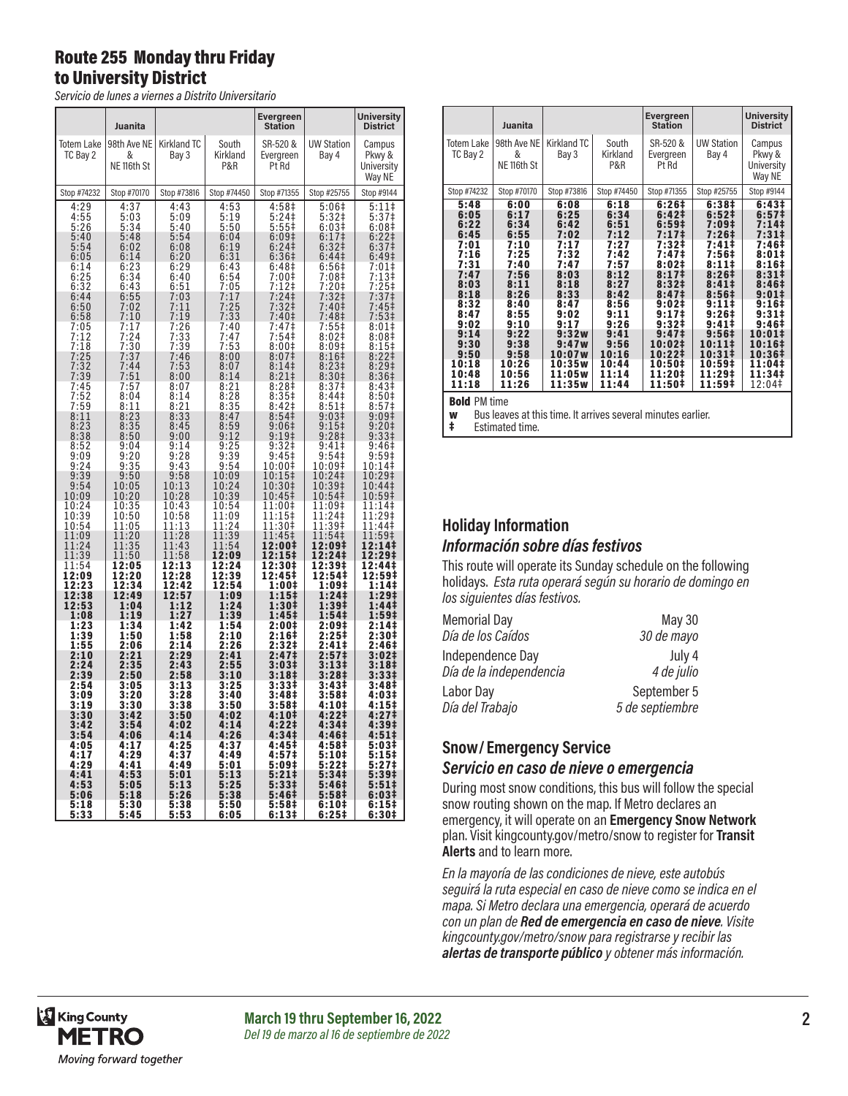### Route 255 Monday thru Friday to University District

*Servicio de lunes a viernes a Distrito Universitario*

|                                       | Juanita                                    |                                                                  |                                         | Evergreen<br>Station                                                 |                                                             | <b>University</b><br><b>District</b>                           |
|---------------------------------------|--------------------------------------------|------------------------------------------------------------------|-----------------------------------------|----------------------------------------------------------------------|-------------------------------------------------------------|----------------------------------------------------------------|
| Totem Lake<br>TC Bay 2                | 98th Ave NE<br>&<br>NE <sub>116th</sub> St | Kirkland TC<br>Bay 3                                             | South<br>Kirkland<br>P&R                | SR-520 &<br>Evergreen<br>Pt Rd                                       | <b>UW Station</b><br>Bay 4                                  | Campus<br>Pkwy &<br>University<br>Way NE                       |
| Stop #74232                           | Stop #70170                                | Stop #73816                                                      | Stop #74450                             | Stop #71355                                                          | Stop #25755                                                 | Stop #9144                                                     |
| 4:29<br>$4:55$<br>5:26                | 4:37<br>5:03<br>5:34                       | 4:43<br>5:09<br>5:40                                             | 4:53<br>5:19<br>$\frac{5:50}{3}$        | 4:58‡<br>5:24<br>$5:55#$<br>6:09‡                                    | 5:06‡<br>5:32‡<br>6:03#                                     | 5:11‡<br>$\frac{5:37}{6:08}$                                   |
| 5:40<br>5:54<br>6:05<br>6:14          | 5:48<br>6:02<br>6:14<br>6:23               | 5:54<br>6:08<br>6:20<br>6:29                                     | 6:04<br>6:19<br>6:31<br>6:43            | 6:24<br>6:36 <sup>‡</sup><br>6:48 <sup>‡</sup>                       | $6:17$ ‡<br>6:32 <sup>‡</sup><br>6:44 <sup>‡</sup><br>6:56‡ | $6:22$ ‡<br>6:37 <sup>‡</sup><br>6:49 <sup>‡</sup><br>7:01‡    |
| 6:25<br>6:32<br>6:44                  | 6:34<br>6:43<br>6:55                       | 6:40<br>6:51<br>7:03                                             | 6:54<br>7:05<br>7:17                    | $7:00$ ‡<br>7:12‡<br>$7:24$ ‡                                        | 7:08‡<br>7:20‡<br>7:32‡                                     | :13‡<br>7<br>$7:25$ ‡<br>7:37 <sup>‡</sup>                     |
| 6:50<br>6:58<br>7:05<br>7:12          | 7:02<br>7:10<br>7:17<br>7:24               | 7:11<br>7:19<br>7:26<br>7:33                                     | 7:25<br>7:33<br>7:40<br>7:47            | 7:32 <sup>‡</sup><br>7:40 <sup>‡</sup><br>7:47‡<br>7:54              | 7:40 <sup>‡</sup><br>7:48 <sup>‡</sup><br>7:55‡<br>8:02#    | 7:45‡<br>7:53‡<br>8:01<br>8:08 <sup>‡</sup>                    |
| 7:18<br>$7:25$<br>$7:32$<br>$7:39$    | 7:30<br>7:37<br>7:44                       | 7:39<br>$7:46$<br>$7:53$                                         | 7:53<br>8:00<br>8:07                    | 8:001<br>8:07 <sup>‡</sup><br>8:14‡                                  | 8:09#<br>$8:16‡$<br>$8:23‡$                                 | 8:15‡<br>$8:22$<br>$8:29$<br>$8:36$                            |
| 7:45<br>7:52                          | 7:51<br>7:57<br>8:04                       | 8:00<br>8:07<br>8:14                                             | 8:14<br>8:21<br>8:28                    | $8:21$<br>$8:28$<br>8:35#                                            | 8:30 <sup>‡</sup><br>8:37 <sup>‡</sup><br>8:44 <sup>‡</sup> | 8:43 <sup>‡</sup><br>8:50 <sup>‡</sup>                         |
| 7:59<br>8:11<br>8:23<br>8:38          | 8:11<br>$8:23$<br>$8:35$<br>8:50           | 8:21<br>8:33<br>8:45<br>9:00                                     | 8:35<br>8:47<br>8:59                    | 8:42 <sup>‡</sup><br>8:54 <sup>‡</sup><br>9:06#<br>9:19 <sup>‡</sup> | 8:51<br>9:03 <sup>‡</sup><br>$9:15+$<br>9:28 <sup>‡</sup>   | 8:57 <sup>‡</sup><br>$9:09$ ‡<br>$9:20$ ‡<br>9:33 <sup>‡</sup> |
| 8:52<br>9:09<br>9:24                  | 9:04<br>9:20<br>$9:35$<br>$9:50$           | 9:14<br>9:28<br>$\frac{9:43}{9:58}$                              | $9:12$<br>$9:25$<br>9:39<br>9:54        | $9:32$ ‡<br>$9:45$ ‡<br>10:00‡                                       | 9:41<br>9:54<br>10:09‡                                      | 9:46‡<br>9:59 <sup>‡</sup><br>10:14‡                           |
| $\frac{9:39}{9:54}$<br>10:09<br>10:24 | 10:05<br>10:20<br>10:35                    | 10:13<br>10:28<br>10:43                                          | 10:09<br>$\frac{10:24}{10:39}$<br>10:54 | 10:15‡<br>10:30‡<br>10:45‡<br>11:00‡                                 | 10:24‡<br>10:39‡<br>10:54‡<br>11:09‡                        | 10:29‡<br>10:44‡<br>10:59‡<br>11:14‡                           |
| 10:39<br>10:54<br>11:09               | 10:50<br>11:05<br>11:20                    | 10:58<br>11:13<br>11:28                                          | 11:09<br>11:24<br>11:39                 | 11:15‡<br>11:30‡<br>11:45‡                                           | 11:24‡<br>11:39‡<br>11:54‡                                  | 11:29‡<br>11:44‡<br>11:59‡                                     |
| 11:24<br>11:39<br>11:54<br>12:09      | 11:35<br>11:50<br>12:05<br>12:20           | 11:43<br>11:58<br>12:13<br>12:28                                 | 11:54<br>12:09<br>12:24<br>12:39        | 12:00‡<br>12:15‡<br>12:30‡<br>12:45‡                                 | 12:09‡<br>12:24‡<br>12:39‡<br>12:54‡                        | 12:14‡<br>12:29‡<br>12:44‡<br>12:59‡                           |
| 12:23<br>$\frac{1}{2:38}$<br>12:53    | 12:34<br>12:49<br>1:04                     | 12:42<br>$\overline{1}\overline{2:}5\overline{7}\overline{1:}12$ | 12:54<br>1:09<br>1:24                   | 1:00‡<br>1:15‡<br>$1:30+$                                            | 1:09‡<br>1:24‡<br>$1:39+$                                   | 1:14‡<br>1:29‡<br>1:44‡                                        |
| 1:08<br>1:23<br>1:39                  | 1:19<br>1:34<br>1:50                       | 1:27<br>1:42<br>1:58                                             | 1:39<br>1:54<br>2:10                    | 1:45‡<br>2:00‡<br>2:16‡                                              | 1:54‡<br>2:09‡<br>2:25‡                                     | 1:59‡<br>2:141<br>2:30‡                                        |
| 1:55<br>2:10<br>2:24<br>2:39          | 2:06<br>2:21<br>2:35<br>2:50               | 2:14<br>2:29<br>2:43<br>2:58                                     | 2:26<br>2:41<br>2:55<br>3:10            | 2:32‡<br>2:47 <sup>‡</sup><br>3:03‡<br>3:18 <sup>‡</sup>             | 2:41‡<br>2:57 <sup>‡</sup><br>3:13‡<br>3:28 <sup>‡</sup>    | 2:46 <sup>‡</sup><br>3:02#<br>3:18‡<br>3:33#                   |
| 2:54<br>3:09<br>3:19                  | 3:05<br>3:20<br>3:30                       | 3:13<br>3:28<br>3:38                                             | 3:25<br>3:40<br>3:50                    | 3:33‡<br>3:48‡<br>3:58 <sup>‡</sup>                                  | 3:43#<br>3:58‡<br>4:10‡                                     | 3:48‡<br>4:03‡<br>4:15‡                                        |
| $3:30$<br>$3:42$<br>$3:54$            | $3:42$<br>$3:54$<br>4:06                   | 3:50<br>4:02<br>4:14                                             | 4:02<br>4:14<br>4:26                    | 4:10‡<br>4:22‡<br>$4:34+$                                            | 4:22‡<br>4:34 <sup>‡</sup><br>4:46‡                         | 4:27‡<br>4:39‡<br>4:51‡                                        |
| 4:05<br>4:17<br>4:29<br>4:41          | 4:17<br>4:29<br>4:41<br>4:53               | 4:25<br>4:37<br>4:49<br>5:01                                     | 4:37<br>4:49<br>5:01<br>5:13            | 4:45‡<br>4:57‡<br>5:09‡<br>5:21‡                                     | 4:58‡<br>5:10‡<br>$5:22$ ‡<br>5:34‡                         | 5:03‡<br>5:15‡<br>5:27 <sup>‡</sup><br>5:39‡                   |
| 4:53<br>5:06<br>5:18                  | 5:05<br>5:18<br>5:30                       | 5:13<br>5:26<br>5:38                                             | 5:25<br>5:38<br>5:50                    | 5:33‡<br>5:46‡<br>5:58 <sup>‡</sup>                                  | 5:46‡<br>5:58 <sup>‡</sup><br>6:10‡                         | 5:51‡<br>6:03‡<br>6:15#                                        |
| 5:33                                  | 5:45                                       | 5:53                                                             | 6:05                                    | 6:13‡                                                                | 6:25#                                                       | 6:30#                                                          |

|                                                                                                                                                         | Juanita                                                                                                                                                 |                                                                                                                                                                |                                                                                                                                                          | Evergreen<br><b>Station</b>                                                                                                                                                                                                                                                    |                                                                                                                                                                                                                                               | <b>University</b><br><b>District</b>                                                                                                                                                                            |
|---------------------------------------------------------------------------------------------------------------------------------------------------------|---------------------------------------------------------------------------------------------------------------------------------------------------------|----------------------------------------------------------------------------------------------------------------------------------------------------------------|----------------------------------------------------------------------------------------------------------------------------------------------------------|--------------------------------------------------------------------------------------------------------------------------------------------------------------------------------------------------------------------------------------------------------------------------------|-----------------------------------------------------------------------------------------------------------------------------------------------------------------------------------------------------------------------------------------------|-----------------------------------------------------------------------------------------------------------------------------------------------------------------------------------------------------------------|
| <b>Totem Lake</b><br>TC Bay 2                                                                                                                           | 98th Ave NE<br>&<br>NE <sub>116th</sub> St                                                                                                              | Kirkland TC<br>Bay 3                                                                                                                                           | South<br>Kirkland<br>P&R                                                                                                                                 | SR-520 &<br>Evergreen<br>Pt Rd                                                                                                                                                                                                                                                 | <b>UW Station</b><br>Bay 4                                                                                                                                                                                                                    | Campus<br>Pkwy &<br>University<br>Way NE                                                                                                                                                                        |
| Stop #74232                                                                                                                                             | Stop #70170                                                                                                                                             | Stop #73816                                                                                                                                                    | Stop #74450                                                                                                                                              | Stop #71355                                                                                                                                                                                                                                                                    | Stop #25755                                                                                                                                                                                                                                   | Stop #9144                                                                                                                                                                                                      |
| 5:48<br>6:05<br>6:22<br>6:45<br>7:01<br>7:16<br>7:31<br>7:47<br>8:03<br>8:18<br>8:32<br>8:47<br>9:02<br>9:14<br>9:30<br>9:50<br>10:18<br>10:48<br>11:18 | 6:00<br>6:17<br>6:34<br>6:55<br>7:10<br>7:25<br>7:40<br>7:56<br>8:11<br>8:26<br>8:40<br>8:55<br>9:10<br>9:22<br>9:38<br>9:58<br>10:26<br>10:56<br>11:26 | 6:08<br>6:25<br>6:42<br>7:02<br>7:17<br>7:32<br>7:47<br>8:03<br>8:18<br>8:33<br>8:47<br>9:02<br>9:17<br>9:32w<br>9:47w<br>10:07w<br>10:35w<br>11:05w<br>11:35w | 6:18<br>6:34<br>6:51<br>7:12<br>7:27<br>7:42<br>7:57<br>8:12<br>8:27<br>8:42<br>8:56<br>9:11<br>9:26<br>9:41<br>9:56<br>10:16<br>10:44<br>11:14<br>11:44 | 6:26#<br>$6:42\pm$<br>6:59 <sup>‡</sup><br>7:17‡<br>7:32‡<br>7:47‡<br>8:02#<br>8:17 <sup>‡</sup><br>8:32 <sup>‡</sup><br>8:47 <sup>‡</sup><br>$9:02 \ddagger$<br>9:17 <sup>‡</sup><br>9:32 <sup>‡</sup><br>9:47 <sup>‡</sup><br>10:02‡<br>10:22‡<br>10:50‡<br>11:20‡<br>11:50‡ | 6:38#<br>6:52 <sup>‡</sup><br>7:09#<br>7:26 <sup>‡</sup><br>$7:41\ddagger$<br>7:56‡<br>8:11#<br>8:26 <sup>‡</sup><br>8:41 <sup>‡</sup><br>8:56‡<br>$9:11*$<br>9:26‡<br>$9:41 \;$<br>9:56‡<br>10:111<br>$10:31*$<br>10:59‡<br>11:29‡<br>11:59‡ | 6:43#<br>6:57 <sup>‡</sup><br>7:14‡<br>7:31‡<br>7:46‡<br>8:01‡<br>8:16‡<br>$8:31\pm$<br>8:46‡<br>$9:01\ddagger$<br>9:16‡<br>9:31‡<br>9:46‡<br>$10:01\ddagger$<br>10:16‡<br>10:36‡<br>11:04‡<br>11:34‡<br>12:04‡ |

Bold PM time

w Bus leaves at this time. It arrives several minutes earlier.

Estimated time.

#### **Holiday Information** *Información sobre días festivos*

This route will operate its Sunday schedule on the following holidays. *Esta ruta operará según su horario de domingo en los siguientes días festivos.*

| <b>Memorial Day</b>     | <b>May 30</b>   |
|-------------------------|-----------------|
| Día de los Caídos       | 30 de mayo      |
| Independence Day        | July 4          |
| Día de la independencia | 4 de julio      |
| Labor Day               | September 5     |
| Día del Trabajo         | 5 de septiembre |

#### **Snow/ Emergency Service**  *Servicio en caso de nieve o emergencia*

During most snow conditions, this bus will follow the special snow routing shown on the map. If Metro declares an emergency, it will operate on an **Emergency Snow Network**  plan. Visit kingcounty.gov/metro/snow to register for **Transit Alerts** and to learn more.

*En la mayoría de las condiciones de nieve, este autobús seguirá la ruta especial en caso de nieve como se indica en el mapa. Si Metro declara una emergencia, operará de acuerdo con un plan de Red de emergencia en caso de nieve. Visite kingcounty.gov/metro/snow para registrarse y recibir las alertas de transporte público y obtener más información.*

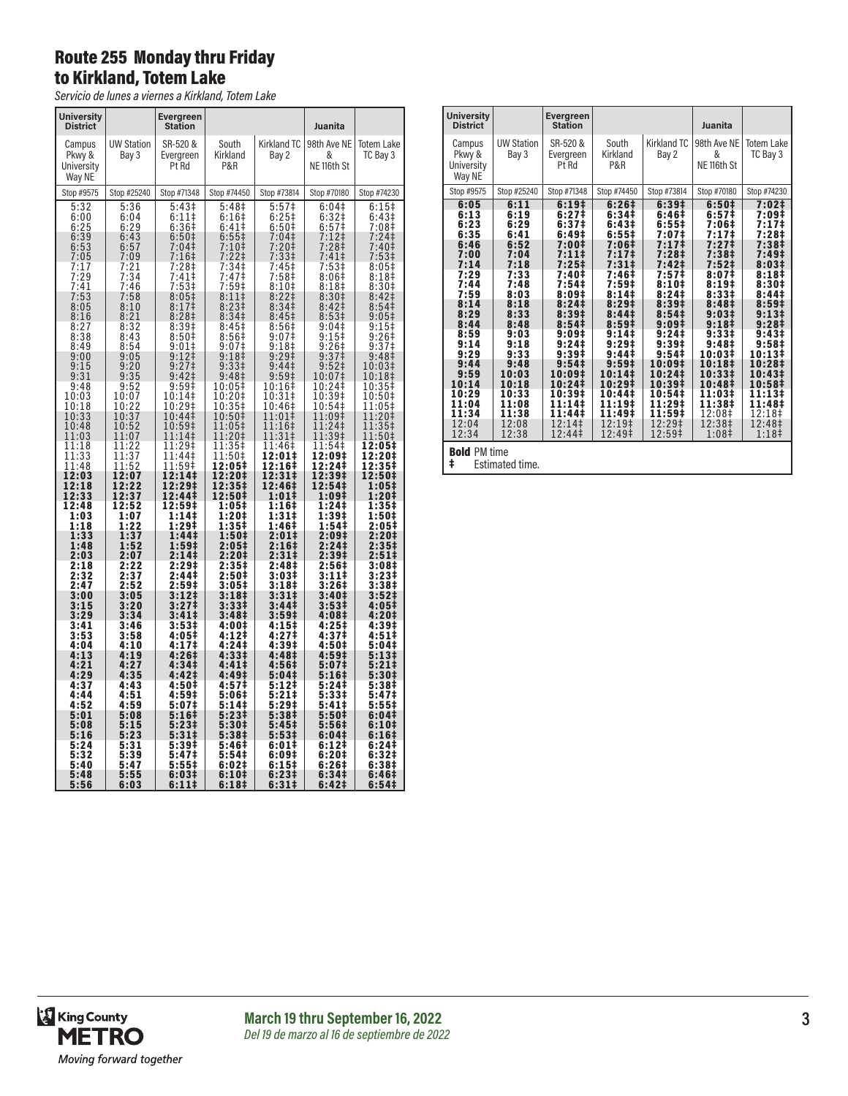#### Route 255 Monday thru Friday to Kirkland, Totem Lake

*Servicio de lunes a viernes a Kirkland, Totem Lake*

| <b>University</b><br><b>District</b>               |                                                  | <b>Evergreen</b><br><b>Station</b>                      |                                                                                   |                                                                   | Juanita                                                                       |                                                                           |
|----------------------------------------------------|--------------------------------------------------|---------------------------------------------------------|-----------------------------------------------------------------------------------|-------------------------------------------------------------------|-------------------------------------------------------------------------------|---------------------------------------------------------------------------|
| Campus<br>Pkwy &<br>University<br>Way NE           | <b>UW Station</b><br>Bay 3                       | SR-520 &<br>Evergreen<br>Pt Rd                          | South<br>Kirkland<br>P&R                                                          | Kirkland TC<br>Bay 2                                              | 98th Ave NE<br>&<br>NE <sub>116th</sub> St                                    | Totem Lake<br>TC Bay 3                                                    |
| Stop #9575                                         | Stop #25240                                      | Stop #71348                                             | Stop #74450                                                                       | Stop #73814                                                       | Stop #70180                                                                   | Stop #74230                                                               |
| 5:32<br>6:00<br>$6:25$<br>$6:39$<br>$6:53$<br>7:05 | 5:36<br>6:04<br>$6:29$<br>$6:43$<br>6:57<br>7:09 | 5:43‡<br>6:111<br>$6:36+$<br>6:50‡<br>7:04<br>$7:16+$   | 5:48‡<br>$6:16+$<br>6:41 <sup>‡</sup><br>$6:55+$<br>7:10 <sup>‡</sup><br>$7:22$ ‡ | 5:57‡<br>$6:25+$<br>$6:50+$<br>7:04<br>7:20‡<br>7:33 <sup>‡</sup> | 6:04‡<br>6:32 <sup>‡</sup><br>$6:57$<br>7:12 +<br>7:28 +<br>7:41 <sup>‡</sup> | 6:15<br>6:43 <sup>‡</sup><br>7:08‡<br>$7:24$ ‡<br>7:40‡<br>$7:53\ddagger$ |
| 7:17<br>7:29<br>7:41<br>7:53                       | 7:21<br>7:34<br>7:46<br>7:58                     | 7:28‡<br>7:41<br>7:53 <sup>‡</sup><br>8:05 <sup>‡</sup> | 7:34‡<br>7:47 <sup>‡</sup><br>$7:59†$<br>8:11‡                                    | 7:45‡<br>7:58‡<br>$8:10+$<br>8:22 <sup>‡</sup>                    | 7:53‡<br>8:06#<br>8:18 <sup>‡</sup><br>8:30‡                                  | 8:05‡<br>8:18 <sup>‡</sup><br>8:30 <sup>‡</sup><br>8:42 <sup>‡</sup>      |
| 8:05<br>8:16<br>8:27                               | 8:10<br>8:21<br>8:32                             | 8:17<br>8:28 <sup>‡</sup><br>8:39#                      | 8:23 <sup>‡</sup><br>8:34 <sup>‡</sup><br>8:45‡                                   | 8:34 <sup>‡</sup><br>8:45 <sup>‡</sup><br>8:56‡                   | 8:42 <sup>‡</sup><br>8:53 <sup>‡</sup><br>9:04‡                               | 8:54 <sup>‡</sup><br>9:05#<br>9:15‡                                       |
| 8:38<br>8:49<br>9:00<br>9:15                       | 8:43<br>8:54<br>9:05<br>9:20                     | 8:50 <sup>‡</sup><br>9:01<br>9:12<br>9:27 <sup>‡</sup>  | 8:56‡<br>9:07<br>9:18 <sup>‡</sup><br>9:33 <sup>‡</sup>                           | 9:07‡<br>9:18 <sup>‡</sup><br>$9:29$ ‡<br>9:44 <sup>‡</sup>       | 9:15<br>9:26 <sup>‡</sup><br>9:37 <sup>‡</sup><br>9:52 <sup>‡</sup>           | $9:26#$<br>9:37‡<br>9:48‡<br>10:03‡                                       |
| 9:31<br>9:48<br>10:03                              | 9:35<br>$\frac{9:52}{10:07}$                     | 9:42 <sup>‡</sup><br>$9:59^{\ddagger}$<br>10:14‡        | 9:48 <sup>‡</sup><br>10:05‡<br>10:20‡                                             | 9:59 <sup>†</sup><br>10:16‡<br>10:31‡                             | 10:07‡<br>10:24‡<br>10:39‡                                                    | 10:18‡<br>10:35‡<br>10:50‡                                                |
| 10:18<br>10:33<br>10:48<br>11:03                   | 10:22<br>10:37<br>10:52<br>11:07                 | 10:29‡<br>10:44‡<br>10:59‡<br>11:14‡                    | 10:35‡<br>10:50‡<br>11:05‡<br>11:20‡                                              | 10:46‡<br>11:01‡<br>11:16‡<br>11:31‡                              | 10:54‡<br>11:09‡<br>11:24‡<br>11:39‡                                          | 11:05‡<br>11:20‡<br>11:35‡<br>11:50‡                                      |
| 11:18<br>11:33<br>11:48<br>12:03                   | 11:22<br>$\frac{11:37}{11:52}$<br>12:07          | 11:29‡<br>11:44‡<br>11:59‡<br>12:14‡                    | 11:35‡<br>11:50‡<br>12:05‡<br>12:20‡                                              | 11:46‡<br>12:01‡<br>12:16‡<br>12:31‡                              | 11:54‡<br>12:09‡<br>12:24‡<br>12:39‡                                          | 12:05‡<br>12:20‡<br>12:35‡<br>12:50‡                                      |
| 12:18<br>12:33<br>12:48<br>1:03                    | 12:22<br>12:37<br>12:52<br>1:07                  | 12:29‡<br>12:44‡<br>12:59‡<br>1:141                     | 12:35‡<br>12:50‡<br>1:05‡<br>1:20‡                                                | 12:46‡<br>$1:01\ddagger$<br>$1:16+$<br>1:31#                      | 12:54‡<br>1:09‡<br>$1:24+$<br>1:39‡                                           | 1:05 <sup>‡</sup><br>1:20‡<br>$1:35+$<br>1:50‡                            |
| 1:18<br>1:33<br>1:48<br>2:03                       | 1:22<br>1:37<br>1:52<br>2:07                     | $1:29+$<br>1:44 <sup>‡</sup><br>1:59‡<br>2:141          | $1:35+$<br>1:50 <sup>‡</sup><br>2:05‡<br>2:20‡                                    | 1:46 <sup>‡</sup><br>2:01‡<br>2:16‡<br>$2:31 \;$                  | 1:54‡<br>2:09‡<br>2:24‡<br>2:39‡                                              | 2:05‡<br>2:20‡<br>2:35‡<br>2:51‡                                          |
| $2:18$<br>2:32<br>2:47                             | 2:22<br>2:37<br>2:52                             | 2:29 <sup>†</sup><br>2:44 <sup>‡</sup><br>2:59‡         | 2:35‡<br>$2:50+$<br>3:05‡                                                         | 2:48‡<br>3:03‡<br>3:18‡                                           | 2:56‡<br>$3:111$<br>$3:261$                                                   | 3:08‡<br>3:23‡<br>$3:38+$                                                 |
| 3:00<br>3:15<br>3:29<br>3:41                       | 3:05<br>3:20<br>3:34<br>3:46                     | 3:12‡<br>3:27 <sup>‡</sup><br>$3:41\pm$<br>$3:53+$      | 3:18‡<br>3:33#<br>3:48‡<br>4:00‡                                                  | 3:31‡<br>3:44 <sup>‡</sup><br>3:59‡<br>4:15‡                      | 3:40‡<br>3:53 <sup>‡</sup><br>4:08‡<br>4:25‡                                  | 3:52‡<br>4:05‡<br>4:20‡<br>4:39‡                                          |
| 3:53<br>4:04<br>4:13                               | 3:58<br>4:10<br>4:19                             | $4:05#$<br>$4:17#$<br>4:26#                             | 4:12‡<br>4:24‡<br>4:33‡                                                           | 4:27 <sup>‡</sup><br>4:39‡<br>4:48‡                               | 4:37 <sup>‡</sup><br>4:50‡<br>4:59‡                                           | 4:51<br>5:04‡<br>5:13‡                                                    |
| 4:21<br>4:29<br>4:37<br>4:44                       | 4:27<br>4:35<br>4:43                             | 4:34#<br>4:42 <sup>‡</sup><br>4:50‡                     | 4:41‡<br>4:49‡<br>4:57‡<br>5:06‡                                                  | 4:56‡<br>5:04‡<br>5:12‡                                           | 5:07‡<br>5:16‡<br>5:24‡<br>5:33‡                                              | 5:21‡<br>5:30‡<br>5:38‡<br>5:47‡                                          |
| 4:52<br>5:01<br>5:08                               | 4:51<br>4:59<br>5:08<br>5:15                     | $4:59+$<br>5:07‡<br>5:16‡<br>$5:23\ddagger$             | 5:14‡<br>5:23‡<br>5:30‡                                                           | 5:21‡<br>$5:29+$<br>5:38 <sup>‡</sup><br>$5:45+$                  | 5:41‡<br>5:50‡<br>5:56‡                                                       | 5:55‡<br>6:04‡<br>6:10‡                                                   |
| 5:16<br>5:24<br>5:32                               | 5:23<br>5:31<br>5:39                             | 5:31#<br>5:39‡<br>5:47 <sup>‡</sup>                     | 5:38‡<br>5:46‡<br>5:54‡                                                           | 5:53‡<br>$6:01\overline{1}$<br>6:09‡                              | 6:04‡<br>6:12‡<br>6:20#                                                       | 6:16‡<br>6:24#<br>6:32#                                                   |
| 5:40<br>5:48<br>5:56                               | 5:47<br>5:55<br>6:03                             | 5:55<br>6:03‡<br>6:11‡                                  | 6:02‡<br>6:10‡<br>6:18‡                                                           | 6:15#<br>6:23#<br>6:31‡                                           | 6:26‡<br>6:34‡<br>6:42‡                                                       | 6:38‡<br>6:46‡<br>6:54‡                                                   |

| <b>University</b><br><b>District</b>                                                                                                                                                               |                                                                                                                                                                                                     | <b>Evergreen</b><br><b>Station</b>                                                                                                                                                                                                                                                                                                       |                                                                                                                                                                                                                                                                                                                              |                                                                                                                                                                                                                                                                          | Juanita                                                                                                                                                                                                                                                                               |                                                                                                                                                                                                                                                                                          |
|----------------------------------------------------------------------------------------------------------------------------------------------------------------------------------------------------|-----------------------------------------------------------------------------------------------------------------------------------------------------------------------------------------------------|------------------------------------------------------------------------------------------------------------------------------------------------------------------------------------------------------------------------------------------------------------------------------------------------------------------------------------------|------------------------------------------------------------------------------------------------------------------------------------------------------------------------------------------------------------------------------------------------------------------------------------------------------------------------------|--------------------------------------------------------------------------------------------------------------------------------------------------------------------------------------------------------------------------------------------------------------------------|---------------------------------------------------------------------------------------------------------------------------------------------------------------------------------------------------------------------------------------------------------------------------------------|------------------------------------------------------------------------------------------------------------------------------------------------------------------------------------------------------------------------------------------------------------------------------------------|
| Campus<br>Pkwy &<br>University<br>Way NE                                                                                                                                                           | <b>UW Station</b><br>Bay 3                                                                                                                                                                          | SR-520 &<br>Evergreen<br>Pt Rd                                                                                                                                                                                                                                                                                                           | South<br>Kirkland<br>P&R                                                                                                                                                                                                                                                                                                     | Kirkland TC<br>Bay 2                                                                                                                                                                                                                                                     | 98th Ave NE<br>&<br>NE <sub>116th</sub> St                                                                                                                                                                                                                                            | Totem Lake<br>TC Bay 3                                                                                                                                                                                                                                                                   |
| Stop #9575                                                                                                                                                                                         | Stop #25240                                                                                                                                                                                         | Stop #71348                                                                                                                                                                                                                                                                                                                              | Stop #74450                                                                                                                                                                                                                                                                                                                  | Stop #73814                                                                                                                                                                                                                                                              | Stop #70180                                                                                                                                                                                                                                                                           | Stop #74230                                                                                                                                                                                                                                                                              |
| 6:05<br>6:13<br>6:23<br>6:35<br>6:46<br>7:00<br>7:14<br>7:29<br>7:44<br>7:59<br>8:14<br>8:29<br>8:44<br>8:59<br>9:14<br>9:29<br>9:44<br>9:59<br>10:14<br>10:29<br>11:04<br>11:34<br>12:04<br>12:34 | 6:11<br>6:19<br>6:29<br>6:41<br>6:52<br>7:04<br>7:18<br>7:33<br>7:48<br>8:03<br>8:18<br>8:33<br>8:48<br>9:03<br>9:18<br>9:33<br>9:48<br>10:03<br>10:18<br>10:33<br>11:08<br>11:38<br>12:08<br>12:38 | 6:19 <sup>‡</sup><br>6:27 <sup>‡</sup><br>6:37 <sup>‡</sup><br>6:49 <sup>‡</sup><br>7:00‡<br>7:11<br>$7:25+$<br>7:40‡<br>7:54 <sup>‡</sup><br>8:09#<br>8:24 <sup>‡</sup><br>8:39‡<br>8:54 <sup>‡</sup><br>9:09#<br>9:24 <sup>‡</sup><br>9:39#<br>9:54 <sup>‡</sup><br>10:09‡<br>10:24‡<br>10:39‡<br>11:14‡<br>11:44‡<br>12:14‡<br>12:44‡ | 6:26 <sup>‡</sup><br>6:34 <sup>‡</sup><br>6:43‡<br>$6:55\ddagger$<br>7:06‡<br>7:17 <sup>‡</sup><br>$7:31\pm$<br>7:46‡<br>7:59‡<br>8:14#<br>8:29 <sup>‡</sup><br>8:441<br>8:59 <sup>‡</sup><br>9:14 <sup>‡</sup><br>$9:29^{\ddagger}$<br>9:44‡<br>9:59#<br>10:141<br>10:29‡<br>10:44‡<br>11:19‡<br>11:49‡<br>12:19‡<br>12:49‡ | 6:39#<br>6:46 <sup>‡</sup><br>6:55#<br>7:07‡<br>7:17<br>7:28‡<br>7:42‡<br>7:57 <sup>‡</sup><br>8:10#<br>8:24 <sup>‡</sup><br>8:39#<br>8:54#<br>9:09#<br>9:24<br>9:39#<br>$9:54 \ddagger$<br>10:09‡<br>10:24‡<br>10:39‡<br>10:54‡<br>11:29‡<br>11:59‡<br>12:29‡<br>12:59‡ | 6:50 <sup>‡</sup><br>6:57 <sup>‡</sup><br>7:06‡<br>7:17‡<br>7:27‡<br>7:38‡<br>7:52‡<br>8:07‡<br>8:19‡<br>8:33#<br>8:48‡<br>9:03#<br>9:18 <sup>‡</sup><br>$9:33\ddagger$<br>9:48‡<br>10:03‡<br>10:18‡<br>10:33‡<br>10:48‡<br>11:03‡<br>11:38‡<br>12:08‡<br>12:38‡<br>1:08 <sup>‡</sup> | 7:02 <sup>‡</sup><br>7:09#<br>7:17‡<br>7:28‡<br>7:38‡<br>7:49‡<br>8:03#<br>8:18‡<br>8:30‡<br>8:44‡<br>8:59 <sup>‡</sup><br>9:13#<br>9:28 <sup>‡</sup><br>9:43 <sup>‡</sup><br>9:58‡<br>10:13‡<br>10:28‡<br>10:43‡<br>10:58‡<br>11:13‡<br>11:48‡<br>12:18‡<br>12:48‡<br>1:18 <sup>‡</sup> |
| <b>Bold PM time</b><br>ŧ<br>Estimated time.                                                                                                                                                        |                                                                                                                                                                                                     |                                                                                                                                                                                                                                                                                                                                          |                                                                                                                                                                                                                                                                                                                              |                                                                                                                                                                                                                                                                          |                                                                                                                                                                                                                                                                                       |                                                                                                                                                                                                                                                                                          |

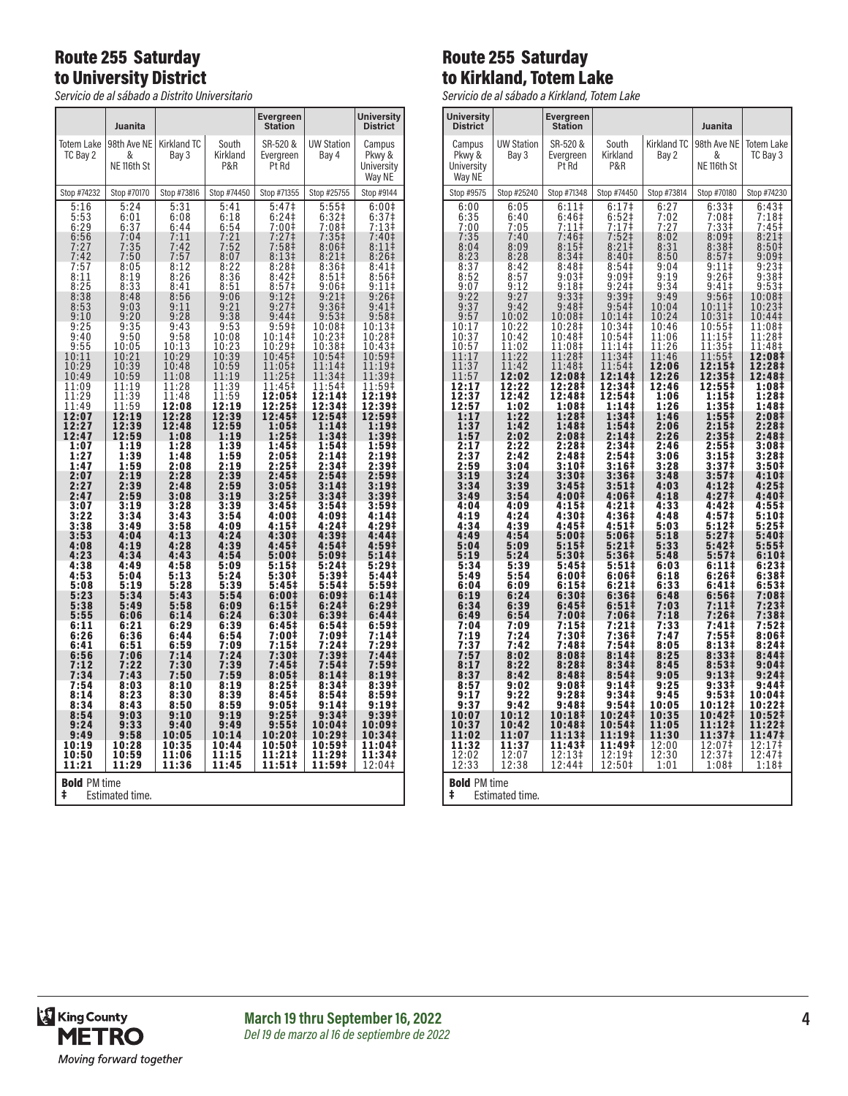## Route 255 Saturday to University District

*Servicio de al sábado a Distrito Universitario*

|                                                                                                                                                                                                                                                                                                                                                                                                                                                     | Juanita                                                                                                                                                                                                                                                                                                                                                                                                                                             |                                                                                                                                                                                                                                                                                                                                                                                                                                       |                                                                                                                                                                                                                                                                                                                                                                                                                                                    | Evergreen<br>Station                                                                                                                                                                                                                                                                                                                                                                                                                                                                                                                                                  |                                                                                                                                                                                                                                                                                                                                                                                                                                                                                                                                                                                     | <b>University</b><br><b>District</b>                                                                                                                                                                                                                                                                                                                                                                                                                                                                                                                                                           |  |
|-----------------------------------------------------------------------------------------------------------------------------------------------------------------------------------------------------------------------------------------------------------------------------------------------------------------------------------------------------------------------------------------------------------------------------------------------------|-----------------------------------------------------------------------------------------------------------------------------------------------------------------------------------------------------------------------------------------------------------------------------------------------------------------------------------------------------------------------------------------------------------------------------------------------------|---------------------------------------------------------------------------------------------------------------------------------------------------------------------------------------------------------------------------------------------------------------------------------------------------------------------------------------------------------------------------------------------------------------------------------------|----------------------------------------------------------------------------------------------------------------------------------------------------------------------------------------------------------------------------------------------------------------------------------------------------------------------------------------------------------------------------------------------------------------------------------------------------|-----------------------------------------------------------------------------------------------------------------------------------------------------------------------------------------------------------------------------------------------------------------------------------------------------------------------------------------------------------------------------------------------------------------------------------------------------------------------------------------------------------------------------------------------------------------------|-------------------------------------------------------------------------------------------------------------------------------------------------------------------------------------------------------------------------------------------------------------------------------------------------------------------------------------------------------------------------------------------------------------------------------------------------------------------------------------------------------------------------------------------------------------------------------------|------------------------------------------------------------------------------------------------------------------------------------------------------------------------------------------------------------------------------------------------------------------------------------------------------------------------------------------------------------------------------------------------------------------------------------------------------------------------------------------------------------------------------------------------------------------------------------------------|--|
| Totem Lake<br>TC Bay 2                                                                                                                                                                                                                                                                                                                                                                                                                              | &<br>NE <sub>116th</sub> St                                                                                                                                                                                                                                                                                                                                                                                                                         | 98th Ave NE   Kirkland TC<br>Bay 3                                                                                                                                                                                                                                                                                                                                                                                                    | South<br>Kirkland<br>P&R                                                                                                                                                                                                                                                                                                                                                                                                                           | SR-520 &<br>Evergreen<br>Pt Rd                                                                                                                                                                                                                                                                                                                                                                                                                                                                                                                                        | <b>UW Station</b><br>Bay 4                                                                                                                                                                                                                                                                                                                                                                                                                                                                                                                                                          | Campus<br>Pkwy &<br>University<br>Way NE                                                                                                                                                                                                                                                                                                                                                                                                                                                                                                                                                       |  |
| Stop #74232                                                                                                                                                                                                                                                                                                                                                                                                                                         | Stop #70170                                                                                                                                                                                                                                                                                                                                                                                                                                         | Stop #73816                                                                                                                                                                                                                                                                                                                                                                                                                           | Stop #74450                                                                                                                                                                                                                                                                                                                                                                                                                                        | Stop #71355                                                                                                                                                                                                                                                                                                                                                                                                                                                                                                                                                           | Stop #25755                                                                                                                                                                                                                                                                                                                                                                                                                                                                                                                                                                         | Stop #9144                                                                                                                                                                                                                                                                                                                                                                                                                                                                                                                                                                                     |  |
| 5:16<br>$5:53$<br>$6:29$<br>$6:56$<br>$7:27$<br>7:42<br>7:57<br>8:11<br>$\frac{8:25}{8:38}$<br>$8:53$<br>$9:10$<br>9:25<br>9:40<br>9:55<br>10:11<br>10:29<br>10:49<br>11:09<br>11:29<br>11:49<br>12:07<br>12:27<br>12:47<br>1:07<br>1:27<br>1:47<br>2:07<br>2:27<br>2:47<br>3:07<br>3:22<br>3:38<br>3:53<br>4:08<br>4:23<br>4:38<br>4:53<br>5:08<br>$\frac{5:23}{5:38}$<br>5:55<br>6:11<br>6:26<br>6:41<br>6:56<br>$7:12$<br>$7:34$<br>7:54<br>8:14 | 5:24<br>6:01<br>$\frac{6:37}{7:04}$<br>7:35<br>7:50<br>8:05<br>8:19<br>8:33<br>8:48<br>9:03<br>$9:20$<br>$9:35$<br>9:50<br>10:05<br>10:21<br>$\frac{10:39}{10:59}$<br>11:19<br>11:39<br>11:59<br>12:19<br>12:39<br>12:59<br>$\frac{1:19}{1:39}$<br>1:59<br>2:19<br>2:39<br>2:59<br>3:19<br>$3:34$<br>$3:49$<br>4:04<br>4:19<br>4:34<br>4:49<br>5:04<br>5:19<br>5:34<br>5:49<br>6:06<br>6:21<br>6:36<br>6:51<br>7:06<br>7:22<br>7:43<br>8:03<br>8:23 | 5:31<br>6:08<br>$6:44$<br>$7:11$<br>7:42<br>7:57<br>8:12<br>8:26<br>8:41<br>8:56<br>$9:11$<br>$9:28$<br>9:43<br>9:58<br>10:13<br>10:29<br>10:48<br>11:08<br>11:28<br>11:48<br>12:08<br>12:28<br>12:48<br>1:08<br>1:28<br>1:48<br>2:08<br>2:28<br>2:48<br>3:08<br>3:28<br>$3:43$<br>$3:58$<br>4:13<br>4:28<br>4:43<br>4:58<br>5:13<br>5:28<br>$5:43$<br>$5:58$<br>6:14<br>6:29<br>6:44<br>6:59<br>7:14<br>7:30<br>7:50<br>8:10<br>8:30 | 5:41<br>6:18<br>$6:54$<br>$7:21$<br>$7:52$<br>8:07<br>8:22<br>8:36<br>8:51<br>9:06<br>$9:21$<br>$9:38$<br>9:53<br>10:08<br>10:23<br>10:39<br>$\frac{10:59}{11:19}$<br>11:39<br>11:59<br>12:19<br>12:39<br>12:59<br>1:19<br>$\frac{1:39}{1:59}$<br>2:19<br>2:39<br>2:59<br>3:19<br>3:39<br>3:54<br>4:09<br>4:24<br>4:39<br>4:54<br>5:09<br>5:24<br>5:39<br>$5:54$<br>$6:09$<br>6:24<br>6:39<br>6:54<br>7:09<br>7:24<br>7:39<br>7:59<br>8:19<br>8:39 | 5:47 <sup>‡</sup><br>$6:24$<br>7:00+<br>$7:27+$<br>7:58 <sup>‡</sup><br>8:13#<br>$8:28+$<br>8:42 <sup>‡</sup><br>$8:571$<br>9:12‡<br>9:27 <sup>1</sup><br>9:44 <sup>‡</sup><br>9:59#<br>10:14‡<br>10:29‡<br>10:45‡<br>11:05‡<br>11:25‡<br>11:45‡<br>12:05‡<br>12:25‡<br>12:45‡<br>1:05‡<br>1:25‡<br>$1:45+$<br>2:05#<br>$2:25+$<br>2:45 <sup>‡</sup><br>3:05#<br>$3:25\ddagger$<br>3:45‡<br>4:00‡<br>4:15‡<br>4:30‡<br>4:45‡<br>5:001<br>5:15‡<br>5:30‡<br>5:45‡<br>6:00‡<br>$6:15+$<br>6:30‡<br>6:45‡<br>7:00‡<br>7:15‡<br>7:30‡<br>7:45#<br>8:05‡<br>8:25‡<br>8:45# | $5:557$<br>6:32‡<br>7:08‡<br>$7:35+$<br>8:06#<br>$8:21 \;$<br>8:36 <sup>‡</sup><br>8:51<br>9:06#<br>$9:21$ ‡<br>$9:361$<br>9:53‡<br>10:08‡<br>10:23‡<br>10:38‡<br>10:54‡<br>11:14‡<br>11:34 <sup>‡</sup><br>11:54<br>12:14‡<br>12:34‡<br>12:54‡<br>1:14‡<br>1:34‡<br>$\overline{1:54}$<br>2:14‡<br>2:34‡<br>2:54 <sup>‡</sup><br>3:14 <sup>‡</sup><br>3:34 <sup>‡</sup><br>3:54‡<br>4:09‡<br>4:24‡<br>4:39‡<br>4:54‡<br>5:09‡<br>5:24‡<br>5:39‡<br>5:54‡<br>6:09‡<br>6:24 <sup>‡</sup><br>6:39‡<br>6:54‡<br>7:09‡<br>7:24‡<br>7:39‡<br>7:54‡<br>8:14 <sup>‡</sup><br>8:34‡<br>8:54‡ | 6:00 <sup>‡</sup><br>$6:37‡$<br>$7:13‡$<br>7:40‡<br>8:11<br>8:26#<br>$8:41$ ‡<br>8:56 <sup>‡</sup><br>9:111<br>9:26 <sup>‡</sup><br>9:41<br>9:58‡<br>10:13‡<br>10:28‡<br>10:43‡<br>10:59‡<br>11:19‡<br>11:39 <sup>‡</sup><br>11:59‡<br>12:19‡<br>12:39‡<br>12:59‡<br>1:19‡<br>1:39‡<br>$1:59†$<br>2:19‡<br>2:39‡<br>2:59 <sup>‡</sup><br>3:19 <sup>‡</sup><br>3:39 <sup>‡</sup><br>3:59#<br>4:14‡<br>4:29‡<br>4:44‡<br>4:59‡<br>5:141<br>$5:29+$<br>5:44<br>5:59‡<br>6:14‡<br>6:29#<br>6:44 <sup>‡</sup><br>6:59‡<br>7:14‡<br>7:29 <sup>‡</sup><br>7:44‡<br>$7:59‡$<br>8:19‡<br>8:39‡<br>8:59# |  |
| 8:34<br>8:54<br>9:24<br>9:49<br>10:19                                                                                                                                                                                                                                                                                                                                                                                                               | 8:43<br>9:03<br>9:33<br>$\frac{9:58}{10:28}$<br>10:59                                                                                                                                                                                                                                                                                                                                                                                               | 8:50<br>9:10<br>9:40<br>10:05<br>10:35                                                                                                                                                                                                                                                                                                                                                                                                | 8:59<br>9:19<br>9:49<br>10:14<br>10:44                                                                                                                                                                                                                                                                                                                                                                                                             | 9:05#<br>9:25‡<br>$9:55\ddagger$<br>10:20‡<br>10:50‡<br>11:21‡                                                                                                                                                                                                                                                                                                                                                                                                                                                                                                        | 9:141<br>9:34 <sup>‡</sup><br>10:04‡<br>10:29‡<br>10:59‡<br>11:29‡                                                                                                                                                                                                                                                                                                                                                                                                                                                                                                                  | 9:19#<br>9:39‡<br>10:09‡<br>10:34‡<br>11:04‡                                                                                                                                                                                                                                                                                                                                                                                                                                                                                                                                                   |  |
| 10:50<br>11:21                                                                                                                                                                                                                                                                                                                                                                                                                                      | 11:29                                                                                                                                                                                                                                                                                                                                                                                                                                               | 11:06<br>11:36                                                                                                                                                                                                                                                                                                                                                                                                                        | 11:15<br>11:45                                                                                                                                                                                                                                                                                                                                                                                                                                     | 11:51‡                                                                                                                                                                                                                                                                                                                                                                                                                                                                                                                                                                | 11:59‡                                                                                                                                                                                                                                                                                                                                                                                                                                                                                                                                                                              | 11:34‡<br>12:04‡                                                                                                                                                                                                                                                                                                                                                                                                                                                                                                                                                                               |  |
| <b>Bold PM time</b><br>ŧ<br>Estimated time.                                                                                                                                                                                                                                                                                                                                                                                                         |                                                                                                                                                                                                                                                                                                                                                                                                                                                     |                                                                                                                                                                                                                                                                                                                                                                                                                                       |                                                                                                                                                                                                                                                                                                                                                                                                                                                    |                                                                                                                                                                                                                                                                                                                                                                                                                                                                                                                                                                       |                                                                                                                                                                                                                                                                                                                                                                                                                                                                                                                                                                                     |                                                                                                                                                                                                                                                                                                                                                                                                                                                                                                                                                                                                |  |

## Route 255 Saturday to Kirkland, Totem Lake

*Servicio de al sábado a Kirkland, Totem Lake*

|                                             |                            | al sabado a himidila.                                       | $1010111$ Land             |                             |                                            |                               |
|---------------------------------------------|----------------------------|-------------------------------------------------------------|----------------------------|-----------------------------|--------------------------------------------|-------------------------------|
| <b>University</b><br><b>District</b>        |                            | Evergreen<br><b>Station</b>                                 |                            |                             | Juanita                                    |                               |
| Campus<br>Pkwy &<br>University<br>Way NE    | <b>UW Station</b><br>Bay 3 | SR-520 &<br>Evergreen<br>Pt Rd                              | South<br>Kirkland<br>P&R   | <b>Kirkland TC</b><br>Bay 2 | 98th Ave NE<br>&<br>NE <sub>116th</sub> St | <b>Totem Lake</b><br>TC Bay 3 |
| Stop #9575                                  | Stop #25240                | Stop #71348                                                 | Stop #74450                | Stop #73814                 | Stop #70180                                | Stop #74230                   |
| 6:00                                        | 6:05                       | 6:11                                                        | 6:17 <sup>‡</sup>          | 6:27                        | 6:33#                                      | 6:43 <sup>‡</sup>             |
| 6:35                                        | 6:40                       | 6:46#                                                       | $6:52$ ‡                   | 7:02                        | 7:08‡                                      | 7:18‡                         |
| 7:00                                        | 7:05                       | 7:11                                                        | 7:17‡                      | 7:27                        | 7:33‡                                      | 7:45‡                         |
| 7:35                                        | 7:40                       | 7:46 <sup>‡</sup>                                           | 7:52‡                      | 8:02                        | 8:09 <sup>‡</sup>                          | $8:21$ ‡                      |
| 8:04                                        | 8:09                       | 8:15 <sup>‡</sup>                                           | 8:21                       | 8:31                        | 8:38 <sup>‡</sup>                          | 8:50 <sup>‡</sup>             |
| 8:23                                        | 8:28                       | 8:34 <sup>‡</sup>                                           | 8:40 <sup>‡</sup>          | 8:50                        | 8:57 <sup>‡</sup>                          | 9:09‡                         |
| 8:37<br>8:52                                | 8:42<br>8:57<br>9:12       | 8:48 <sup>‡</sup><br>9:03 <sup>‡</sup><br>9:18 <sup>‡</sup> | 8:54‡<br>9:09‡             | 9:04<br>9:19                | $9:11$ ‡<br>9:26 <sup>‡</sup><br>$9:41 \;$ | 9:23‡<br>9:38 <sup>‡</sup>    |
| 9:07<br>9:22                                | 9:27                       | 9:33 <sup>‡</sup>                                           | 9:24‡<br>9:39 <sup>‡</sup> | 9:34<br>9:49                | 9:56 <sup>‡</sup>                          | 9:53‡<br>10:08‡               |
| 9:37                                        | 9:42                       | 9:48 <sup>‡</sup>                                           | 9:54‡                      | 10:04                       | $10:11$ ‡                                  | 10:23‡                        |
| 9:57                                        | 10:02                      | 10:08‡                                                      | 10:14‡                     | 10:24                       | 10:31‡                                     | 10:44‡                        |
| 10:17                                       | 10:22<br>10:42             | 10:28‡<br>10:48‡                                            | 10:34‡<br>10:54‡           | 10:46<br>11:06              | 10:55‡<br>$1:15+$<br>1                     | 11:08‡<br>11:28‡              |
| 10:37<br>10:57                              | 11:02                      | 1:08 <sup>‡</sup><br>1                                      | 11:14‡                     | 11:26                       | $1:35+$<br>1                               | 11:48‡                        |
| 11:17<br>11:37<br>11:57                     | 11:22<br>11:42<br>12:02    | 1:28‡<br>1<br>11:48‡<br>12:08‡                              | 11:34‡<br>11:54‡<br>12:14‡ | 11:46<br>12:06<br>12:26     | 1<br>$1:55^{\ddagger}$<br>12:15‡<br>12:35‡ | 12:08‡<br>12:28‡<br>12:48‡    |
| 12:17                                       | 12:22                      | 12:28‡                                                      | 12:34‡                     | 12:46                       | 12:55‡                                     | 1:08‡                         |
| 12:37                                       | 12:42                      | 12:48‡                                                      | 12:54‡                     | 1:06                        | 1:15‡                                      | 1:28‡                         |
| 12:57                                       | 1:02                       | 1:08‡                                                       | 1:14‡                      | 1:26                        | 1:35‡                                      | 1:48‡                         |
| 1:17                                        | 1:22                       | 1:28‡                                                       | 1:34 <sup>‡</sup>          | 1:46                        | 1:55 <sup>‡</sup>                          | 2:08‡                         |
| 1:37                                        | 1:42                       | 1:48‡                                                       | 1:54‡                      | 2:06                        | 2:15 <sup>‡</sup>                          | 2:28‡                         |
| 1:57                                        | 2:02                       | 2:08‡                                                       | 2:14 <sup>‡</sup>          | 2:26                        | 2:35 <sup>‡</sup>                          | 2:48 <sup>‡</sup>             |
| 2:17                                        | 2:22                       | 2:28‡                                                       | 2:34‡                      | 2:46                        | 2:55‡                                      | 3:08‡                         |
| 2:37                                        | 2:42                       | 2:48‡                                                       | 2:54 <sup>‡</sup>          | 3:06                        | 3:15#                                      | 3:28‡                         |
| 2:59                                        | 3:04                       | 3:10‡                                                       | 3:16‡                      | 3:28                        | 3:37‡                                      | 3:50 <sup>‡</sup>             |
| 3:19                                        | 3:24                       | 3:30‡                                                       | 3:36‡                      | 3:48                        | 3:57‡                                      | 4:10‡                         |
| 3:34                                        | 3:39                       | 3:45‡                                                       | 3:51‡                      | 4:03                        | 4:12‡                                      | 4:25‡                         |
| 3:49                                        | 3:54                       | 4:00‡                                                       | 4:06‡                      | 4:18                        | 4:27‡                                      | 4:40‡                         |
| 4:04                                        | 4:09                       | 4:15‡                                                       | 4:21#                      | 4:33                        | 4:42‡                                      | 4:551                         |
| 4:19                                        | 4:24                       | 4:30‡                                                       | 4:36‡                      | 4:48                        | 4:57‡                                      | 5:10‡                         |
| 4:34                                        | 4:39                       | 4:45‡                                                       | 4:51‡                      | 5:03                        | 5:12‡                                      | 5:25‡                         |
| 4:49                                        | 4:54                       | 5:00‡                                                       | 5:06‡                      | 5:18                        | 5:27 <sup>‡</sup>                          | 5:40‡                         |
| 5:04                                        | 5:09                       | 5:15‡                                                       | 5:21                       | 5:33                        | 5:42‡                                      | $5:55\ddagger$                |
| 5:19                                        | 5:24                       | 5:30‡                                                       | 5:36‡                      | 5:48                        | 5:57 <sup>‡</sup>                          | 6:101                         |
| 5:34                                        | 5:39                       | 5:45‡                                                       | 5:51‡                      | 6:03                        | 6:11‡                                      | 6:23‡                         |
| 5:49                                        | 5:54                       | 6:00‡                                                       | 6:06‡                      | 6:18                        | 6:26‡                                      | 6:38‡                         |
| 6:04                                        | 6:09                       | 6:15‡                                                       | 6:21#                      | 6:33                        | 6:41‡                                      | 6:53#                         |
| 6:19                                        | 6:24                       | 6:30‡                                                       | 6:361                      | 6:48                        | 6:56‡                                      | 7:08‡                         |
| 6:34                                        | 6:39                       | 6:45#                                                       | 6:51#                      | 7:03                        | 7:111                                      | 7:23‡                         |
| 6:49                                        | 6:54                       | 7:00‡                                                       | 7:06‡                      | 7:18                        | 7:26#                                      | 7:38‡                         |
| 7:04                                        | 7:09                       | 7:15‡                                                       | 7:21‡                      | 7:33                        | 7:41‡                                      | 7:52‡                         |
| 7:19                                        | 7:24                       | 7:30‡                                                       | 7:36‡                      | 7:47                        | 7:55‡                                      | 8:06‡                         |
| 7:37                                        | 7:42                       | 7:48‡                                                       | 7:54‡                      | 8:05                        | 8:13‡                                      | 8:24‡                         |
| 7:57                                        | 8:02                       | 8:08‡                                                       | 8:14‡                      | 8:25                        | 8:33#                                      | 8:441                         |
| 8:17                                        | 8:22                       | 8:28‡                                                       | 8:34‡                      | 8:45                        | 8:53#                                      | 9:04‡                         |
| 8:37                                        | 8:42                       | 8:48 <sup>‡</sup>                                           | 8:54‡                      | 9:05                        | $9:13+$                                    | 9:24‡                         |
| 8:57                                        | 9:02                       | 9:08‡                                                       | 9:14‡                      | 9:25                        | 9:33‡                                      | 9:44‡                         |
| 9:17                                        | 9:22                       | 9:28‡                                                       | 9:34‡                      | 9:45                        | 9:53‡                                      | 10:04‡                        |
| 9:37                                        | 9:42                       | 9:48‡                                                       | 9:54‡                      | 10:05                       | 10:12‡                                     | 10:22‡                        |
| 10:07                                       | 10:12                      | 10:18‡                                                      | 10:24‡                     | 10:35                       | 10:42‡                                     | 10:52‡                        |
| 10:37                                       | 10:42                      | 10:48‡                                                      | 10:54‡                     | 11:05                       | 11:12‡                                     | 11:22‡                        |
| 11:02                                       | 11:07                      | 11:13‡                                                      | 11:19‡                     | 11:30                       | 11:37‡                                     | 11:47‡                        |
| 11:32                                       | 11:37                      | 11:43‡                                                      | 11:49‡                     | 12:00                       | 12:07‡                                     | 12:17‡                        |
| 12:02                                       | 12:07                      | 12:13‡                                                      | 12:19‡                     | 12:30                       | 12:37‡                                     | 12:47‡                        |
| 12:33                                       | 12:38                      | 12:44‡                                                      | 12:50‡                     | 1:01                        | 1:08‡                                      | 1:18‡                         |
| <b>Bold PM time</b><br>ŧ<br>Estimated time. |                            |                                                             |                            |                             |                                            |                               |